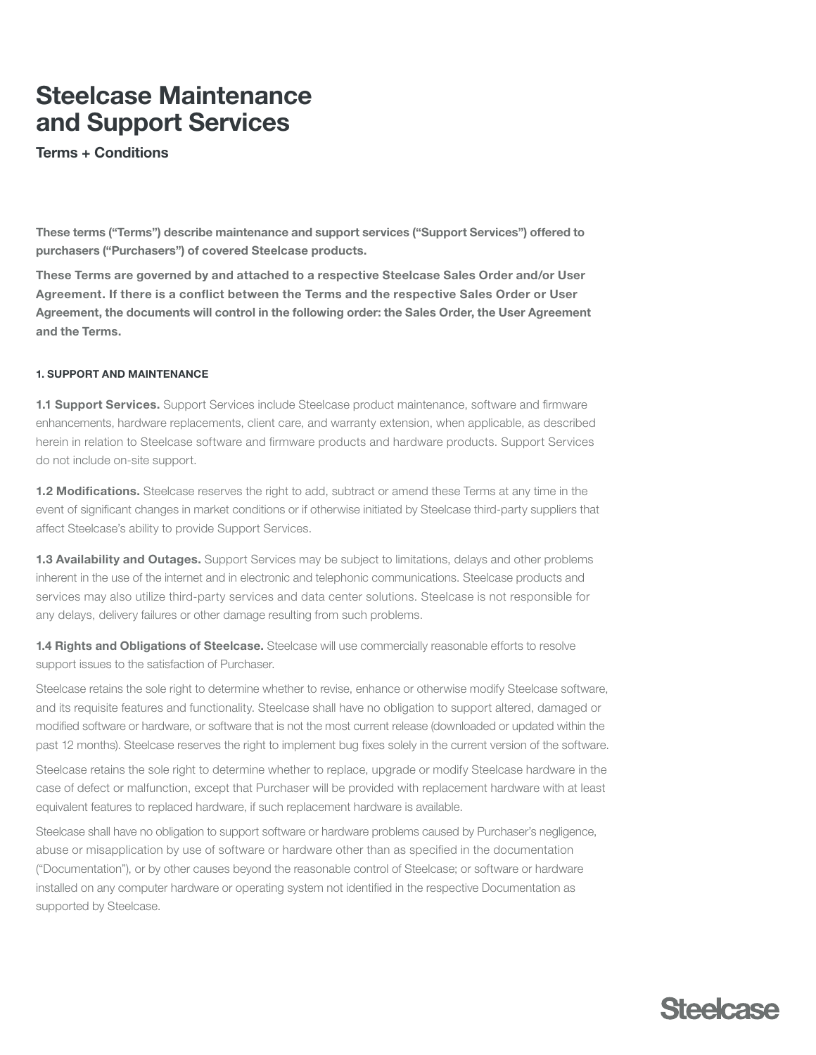# Steelcase Maintenance and Support Services

Terms + Conditions

These terms ("Terms") describe maintenance and support services ("Support Services") offered to purchasers ("Purchasers") of covered Steelcase products.

These Terms are governed by and attached to a respective Steelcase Sales Order and/or User Agreement. If there is a confict between the Terms and the respective Sales Order or User Agreement, the documents will control in the following order: the Sales Order, the User Agreement and the Terms.

### 1. SUPPORT AND MAINTENANCE

1.1 Support Services. Support Services include Steelcase product maintenance, software and firmware enhancements, hardware replacements, client care, and warranty extension, when applicable, as described herein in relation to Steelcase software and frmware products and hardware products. Support Services do not include on-site support.

 affect Steelcase's ability to provide Support Services. 1.2 Modifications. Steelcase reserves the right to add, subtract or amend these Terms at any time in the event of signifcant changes in market conditions or if otherwise initiated by Steelcase third-party suppliers that

 any delays, delivery failures or other damage resulting from such problems. 1.3 Availability and Outages. Support Services may be subject to limitations, delays and other problems inherent in the use of the internet and in electronic and telephonic communications. Steelcase products and services may also utilize third-party services and data center solutions. Steelcase is not responsible for

support issues to the satisfaction of Purchaser. 1.4 Rights and Obligations of Steelcase. Steelcase will use commercially reasonable efforts to resolve

Steelcase retains the sole right to determine whether to revise, enhance or otherwise modify Steelcase software, and its requisite features and functionality. Steelcase shall have no obligation to support altered, damaged or modifed software or hardware, or software that is not the most current release (downloaded or updated within the past 12 months). Steelcase reserves the right to implement bug fxes solely in the current version of the software.

Steelcase retains the sole right to determine whether to replace, upgrade or modify Steelcase hardware in the case of defect or malfunction, except that Purchaser will be provided with replacement hardware with at least equivalent features to replaced hardware, if such replacement hardware is available.

Steelcase shall have no obligation to support software or hardware problems caused by Purchaser's negligence, abuse or misapplication by use of software or hardware other than as specifed in the documentation ("Documentation"), or by other causes beyond the reasonable control of Steelcase; or software or hardware installed on any computer hardware or operating system not identifed in the respective Documentation as supported by Steelcase.

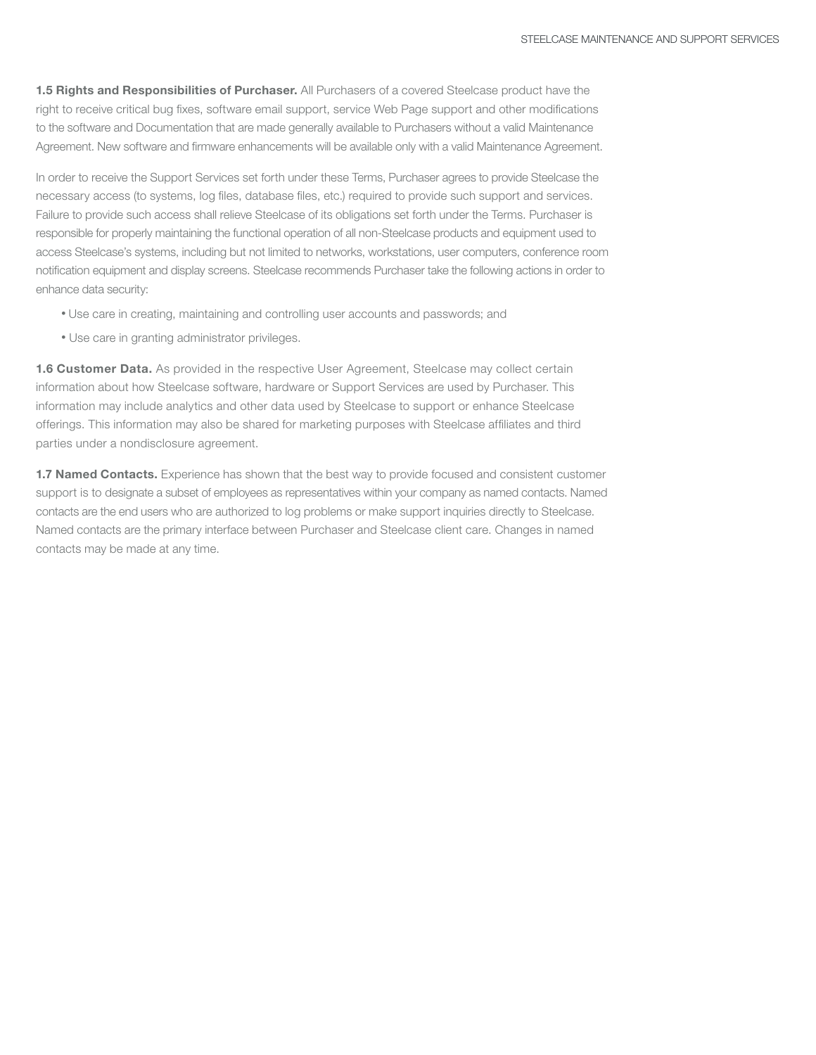1.5 Rights and Responsibilities of Purchaser. All Purchasers of a covered Steelcase product have the right to receive critical bug fixes, software email support, service Web Page support and other modifications to the software and Documentation that are made generally available to Purchasers without a valid Maintenance Agreement. New software and frmware enhancements will be available only with a valid Maintenance Agreement.

 In order to receive the Support Services set forth under these Terms, Purchaser agrees to provide Steelcase the necessary access (to systems, log fles, database fles, etc.) required to provide such support and services. Failure to provide such access shall relieve Steelcase of its obligations set forth under the Terms. Purchaser is responsible for properly maintaining the functional operation of all non-Steelcase products and equipment used to access Steelcase's systems, including but not limited to networks, workstations, user computers, conference room notifcation equipment and display screens. Steelcase recommends Purchaser take the following actions in order to enhance data security:

- Use care in creating, maintaining and controlling user accounts and passwords; and
- Use care in granting administrator privileges.

**1.6 Customer Data.** As provided in the respective User Agreement, Steelcase may collect certain information about how Steelcase software, hardware or Support Services are used by Purchaser. This information may include analytics and other data used by Steelcase to support or enhance Steelcase offerings. This information may also be shared for marketing purposes with Steelcase affliates and third parties under a nondisclosure agreement.

 support is to designate a subset of employees as representatives within your company as named contacts. Named contacts are the end users who are authorized to log problems or make support inquiries directly to Steelcase. Named contacts are the primary interface between Purchaser and Steelcase client care. Changes in named 1.7 Named Contacts. Experience has shown that the best way to provide focused and consistent customer contacts may be made at any time.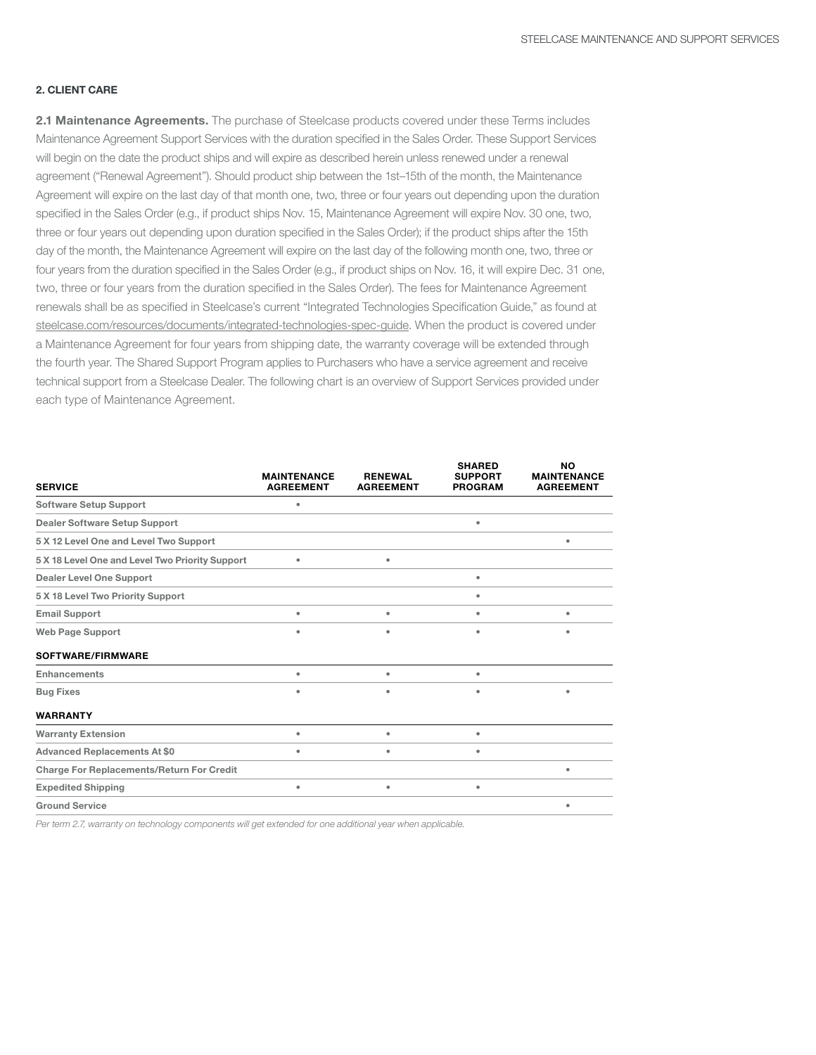## 2. CLIENT CARE

 will begin on the date the product ships and will expire as described herein unless renewed under a renewal three or four years out depending upon duration specifed in the Sales Order); if the product ships after the 15th four years from the duration specifed in the Sales Order (e.g., if product ships on Nov. 16, it will expire Dec. 31 one, renewals shall be as specifed in Steelcase's current "Integrated Technologies Specifcation Guide," as found at the fourth year. The Shared Support Program applies to Purchasers who have a service agreement and receive technical support from a Steelcase Dealer. The following chart is an overview of Support Services provided under 2.1 Maintenance Agreements. The purchase of Steelcase products covered under these Terms includes Maintenance Agreement Support Services with the duration specifed in the Sales Order. These Support Services agreement ("Renewal Agreement"). Should product ship between the 1st–15th of the month, the Maintenance Agreement will expire on the last day of that month one, two, three or four years out depending upon the duration specifed in the Sales Order (e.g., if product ships Nov. 15, Maintenance Agreement will expire Nov. 30 one, two, day of the month, the Maintenance Agreement will expire on the last day of the following month one, two, three or two, three or four years from the duration specifed in the Sales Order). The fees for Maintenance Agreement [steelcase.com/resources/documents/integrated-technologies-spec-guide.](http://www.steelcase.com/resources/documents/integrated-technologies-spec-guide) When the product is covered under a Maintenance Agreement for four years from shipping date, the warranty coverage will be extended through each type of Maintenance Agreement.

| <b>SERVICE</b>                                   | <b>MAINTENANCE</b><br><b>AGREEMENT</b> | <b>RENEWAL</b><br><b>AGREEMENT</b> | <b>SHARED</b><br><b>SUPPORT</b><br><b>PROGRAM</b> | <b>NO</b><br><b>MAINTENANCE</b><br><b>AGREEMENT</b> |
|--------------------------------------------------|----------------------------------------|------------------------------------|---------------------------------------------------|-----------------------------------------------------|
| <b>Software Setup Support</b>                    | ۰                                      |                                    |                                                   |                                                     |
| <b>Dealer Software Setup Support</b>             |                                        |                                    | ٠                                                 |                                                     |
| 5 X 12 Level One and Level Two Support           |                                        |                                    |                                                   | ٠                                                   |
| 5 X 18 Level One and Level Two Priority Support  | ٠                                      | ٠                                  |                                                   |                                                     |
| <b>Dealer Level One Support</b>                  |                                        |                                    | ۰                                                 |                                                     |
| 5 X 18 Level Two Priority Support                |                                        |                                    | ٠                                                 |                                                     |
| <b>Email Support</b>                             | ٠                                      | ٠                                  | ٠                                                 | ٠                                                   |
| <b>Web Page Support</b>                          | ۰                                      | ٠                                  | ٠                                                 |                                                     |
| SOFTWARE/FIRMWARE                                |                                        |                                    |                                                   |                                                     |
| <b>Enhancements</b>                              | ٠                                      | ٠                                  | ٠                                                 |                                                     |
| <b>Bug Fixes</b>                                 | ۰                                      | ٠                                  | ٠                                                 | ٠                                                   |
| <b>WARRANTY</b>                                  |                                        |                                    |                                                   |                                                     |
| <b>Warranty Extension</b>                        | ٠                                      | ٠                                  | ٠                                                 |                                                     |
| <b>Advanced Replacements At \$0</b>              | ٠                                      | ٠                                  | ٠                                                 |                                                     |
| <b>Charge For Replacements/Return For Credit</b> |                                        |                                    |                                                   |                                                     |
| <b>Expedited Shipping</b>                        | ۰                                      | ٠                                  | ٠                                                 |                                                     |
| <b>Ground Service</b>                            |                                        |                                    |                                                   | ٠                                                   |

Per term 2.7, warranty on technology components will get extended for one additional year when applicable.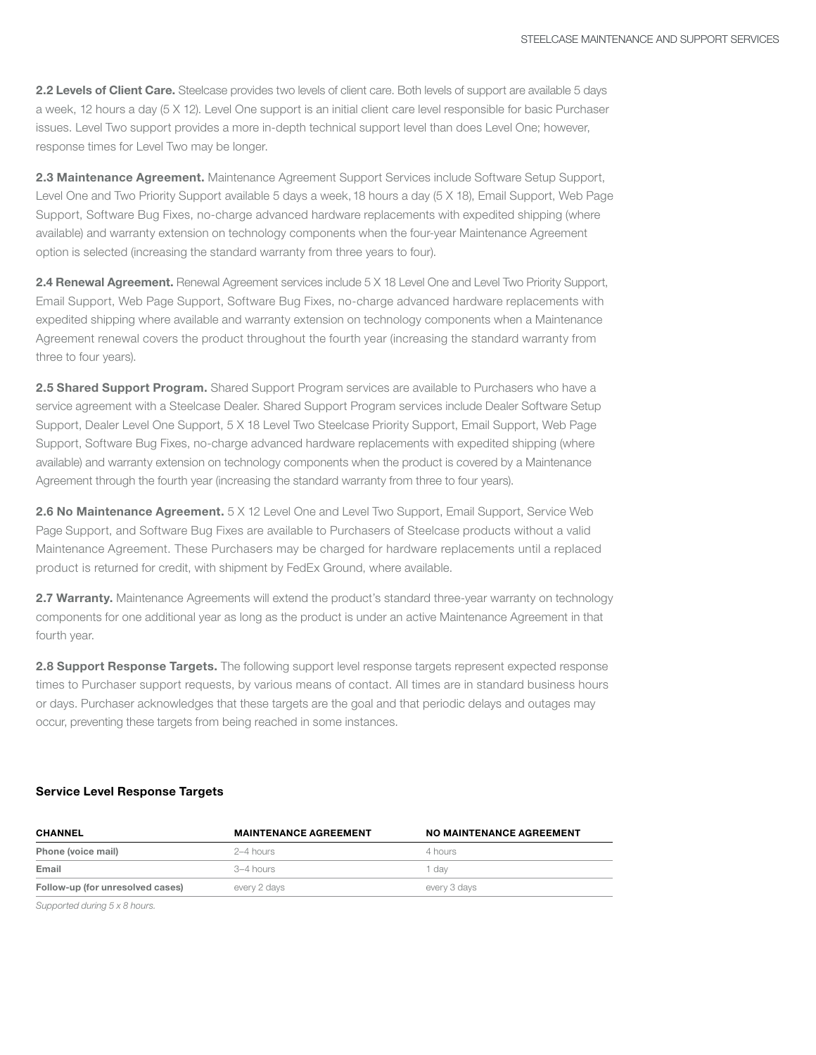2.2 Levels of Client Care. Steelcase provides two levels of client care. Both levels of support are available 5 days a week, 12 hours a day (5 X 12). Level One support is an initial client care level responsible for basic Purchaser issues. Level Two support provides a more in-depth technical support level than does Level One; however, response times for Level Two may be longer.

 Support, Software Bug Fixes, no-charge advanced hardware replacements with expedited shipping (where 2.3 Maintenance Agreement. Maintenance Agreement Support Services include Software Setup Support, Level One and Two Priority Support available 5 days a week, 18 hours a day (5 X 18), Email Support, Web Page available) and warranty extension on technology components when the four-year Maintenance Agreement option is selected (increasing the standard warranty from three years to four).

2.4 Renewal Agreement. Renewal Agreement services include 5 X 18 Level One and Level Two Priority Support, Email Support, Web Page Support, Software Bug Fixes, no-charge advanced hardware replacements with expedited shipping where available and warranty extension on technology components when a Maintenance Agreement renewal covers the product throughout the fourth year (increasing the standard warranty from three to four years).

 service agreement with a Steelcase Dealer. Shared Support Program services include Dealer Software Setup 2.5 Shared Support Program. Shared Support Program services are available to Purchasers who have a Support, Dealer Level One Support, 5 X 18 Level Two Steelcase Priority Support, Email Support, Web Page Support, Software Bug Fixes, no-charge advanced hardware replacements with expedited shipping (where available) and warranty extension on technology components when the product is covered by a Maintenance Agreement through the fourth year (increasing the standard warranty from three to four years).

 product is returned for credit, with shipment by FedEx Ground, where available. 2.6 No Maintenance Agreement. 5 X 12 Level One and Level Two Support, Email Support, Service Web Page Support, and Software Bug Fixes are available to Purchasers of Steelcase products without a valid Maintenance Agreement. These Purchasers may be charged for hardware replacements until a replaced

2.7 Warranty. Maintenance Agreements will extend the product's standard three-year warranty on technology components for one additional year as long as the product is under an active Maintenance Agreement in that fourth year.

2.8 Support Response Targets. The following support level response targets represent expected response times to Purchaser support requests, by various means of contact. All times are in standard business hours or days. Purchaser acknowledges that these targets are the goal and that periodic delays and outages may occur, preventing these targets from being reached in some instances.

#### Service Level Response Targets

| <b>CHANNEL</b>                   | <b>MAINTENANCE AGREEMENT</b> | <b>NO MAINTENANCE AGREEMENT</b> |  |
|----------------------------------|------------------------------|---------------------------------|--|
| Phone (voice mail)               | 2–4 hours                    | 4 hours                         |  |
| Email                            | 3–4 hours                    | dav                             |  |
| Follow-up (for unresolved cases) | every 2 days                 | every 3 days                    |  |

Supported during 5 x 8 hours.